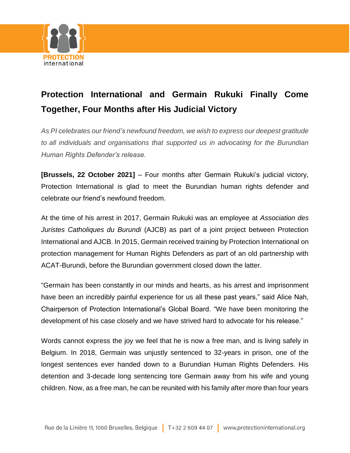

## **Protection International and Germain Rukuki Finally Come Together, Four Months after His Judicial Victory**

*As PI celebrates our friend's newfound freedom, we wish to express our deepest gratitude to all individuals and organisations that supported us in advocating for the Burundian Human Rights Defender's release.*

**[Brussels, 22 October 2021]** – Four months after Germain Rukuki's judicial victory, Protection International is glad to meet the Burundian human rights defender and celebrate our friend's newfound freedom.

At the time of his arrest in 2017, Germain Rukuki was an employee at *Association des Juristes Catholiques du Burundi* (AJCB) as part of a joint project between Protection International and AJCB. In 2015, Germain received training by Protection International on protection management for Human Rights Defenders as part of an old partnership with ACAT-Burundi, before the Burundian government closed down the latter.

"Germain has been constantly in our minds and hearts, as his arrest and imprisonment have been an incredibly painful experience for us all these past years," said Alice Nah, Chairperson of Protection International's Global Board. "We have been monitoring the development of his case closely and we have strived hard to advocate for his release."

Words cannot express the joy we feel that he is now a free man, and is living safely in Belgium. In 2018, Germain was unjustly sentenced to 32-years in prison, one of the longest sentences ever handed down to a Burundian Human Rights Defenders. His detention and 3-decade long sentencing tore Germain away from his wife and young children. Now, as a free man, he can be reunited with his family after more than four years